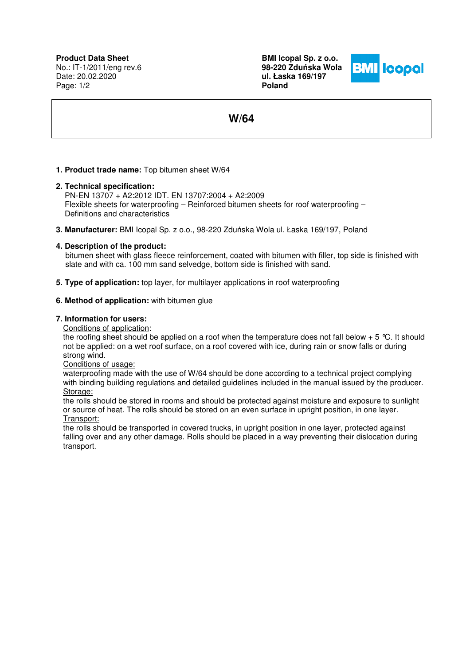**BMI Icopal Sp. z o.o. 98-220 Zdu**ń**ska Wola ul. Łaska 169/197 Poland** 



# **W/64**

# **1. Product trade name:** Top bitumen sheet W/64

## **2. Technical specification:**

PN-EN 13707 + A2:2012 IDT. EN 13707:2004 + A2:2009 Flexible sheets for waterproofing – Reinforced bitumen sheets for roof waterproofing – Definitions and characteristics

**3. Manufacturer:** BMI Icopal Sp. z o.o., 98-220 Zduńska Wola ul. Łaska 169/197, Poland

## **4. Description of the product:**

 bitumen sheet with glass fleece reinforcement, coated with bitumen with filler, top side is finished with slate and with ca. 100 mm sand selvedge, bottom side is finished with sand.

**5. Type of application:** top layer, for multilayer applications in roof waterproofing

#### **6. Method of application:** with bitumen glue

#### **7. Information for users:**

Conditions of application:

the roofing sheet should be applied on a roof when the temperature does not fall below  $+5$  °C. It should not be applied: on a wet roof surface, on a roof covered with ice, during rain or snow falls or during strong wind.

#### Conditions of usage:

waterproofing made with the use of W/64 should be done according to a technical project complying with binding building regulations and detailed guidelines included in the manual issued by the producer. Storage:

the rolls should be stored in rooms and should be protected against moisture and exposure to sunlight or source of heat. The rolls should be stored on an even surface in upright position, in one layer. Transport:

the rolls should be transported in covered trucks, in upright position in one layer, protected against falling over and any other damage. Rolls should be placed in a way preventing their dislocation during transport.